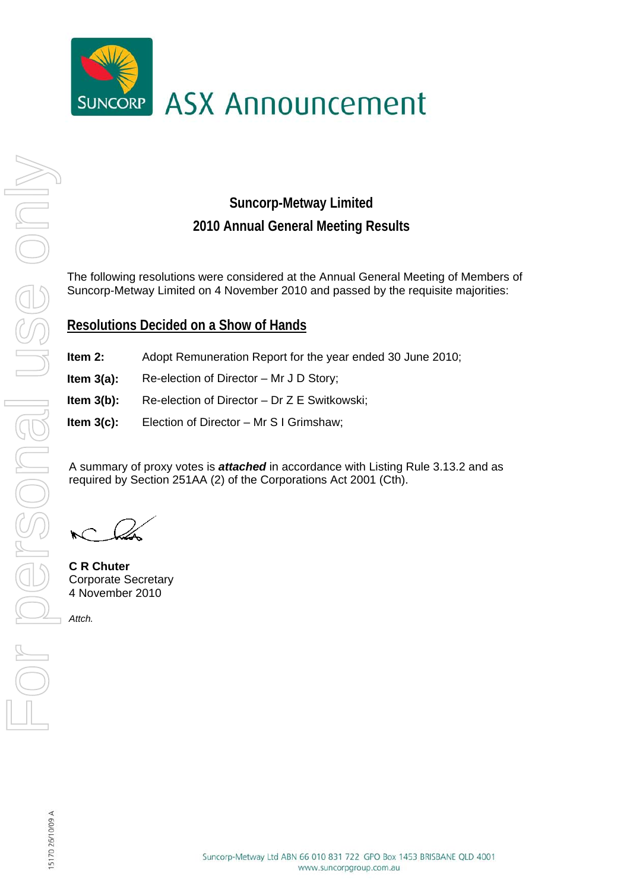

## **Suncorp-Metway Limited 2010 Annual General Meeting Results**

The following resolutions were considered at the Annual General Meeting of Members of Suncorp-Metway Limited on 4 November 2010 and passed by the requisite majorities:

## **Resolutions Decided on a Show of Hands**

- **Item 2:** Adopt Remuneration Report for the year ended 30 June 2010;
- **Item 3(a):** Re-election of Director Mr J D Story;
- **Item 3(b):** Re-election of Director Dr Z E Switkowski;
- **Item 3(c):** Election of Director Mr S I Grimshaw;

A summary of proxy votes is *attached* in accordance with Listing Rule 3.13.2 and as required by Section 251AA (2) of the Corporations Act 2001 (Cth).

**C R Chuter**  Corporate Secretary 4 November 2010

*Attch.*